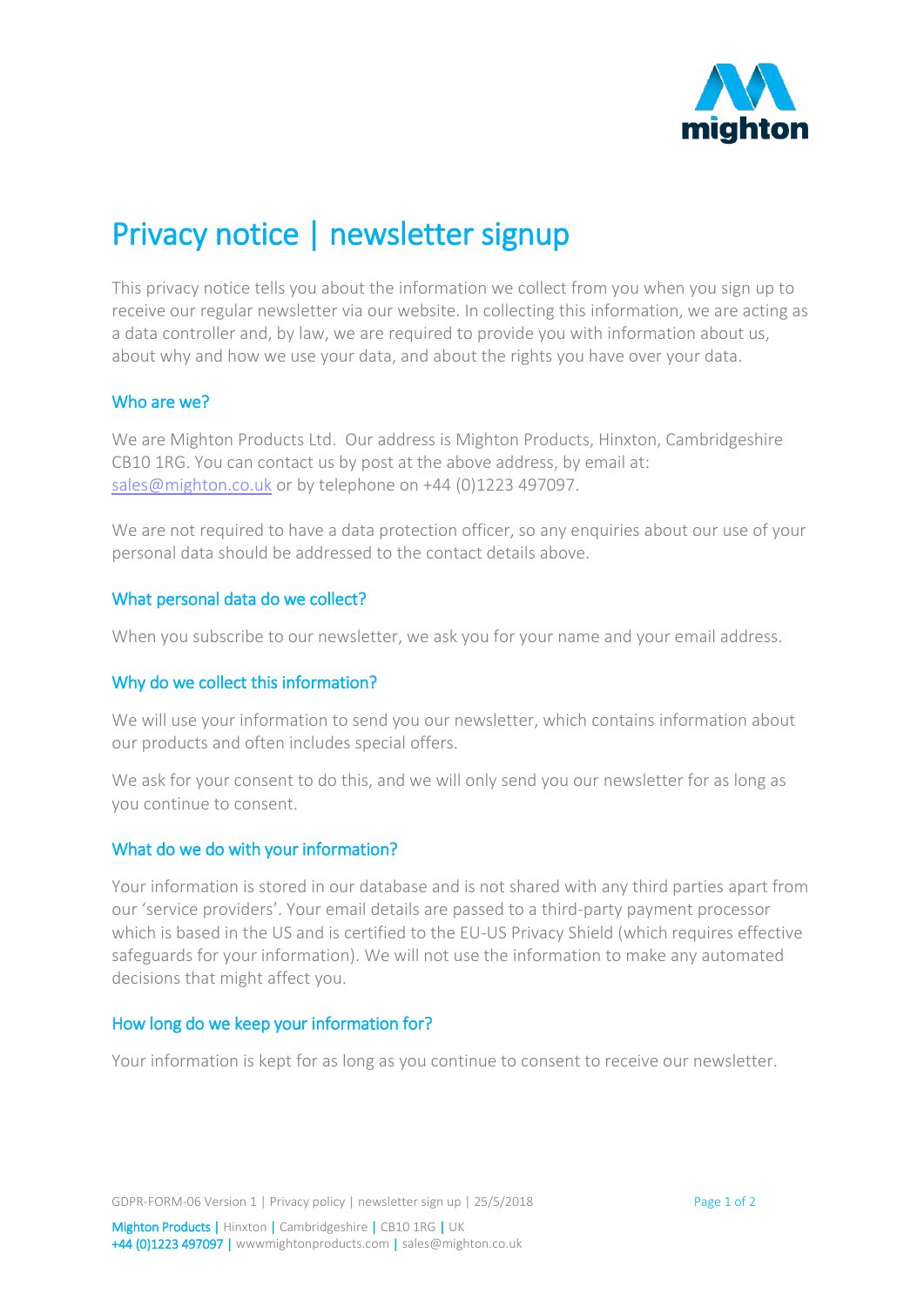

# Privacy notice | newsletter signup

This privacy notice tells you about the information we collect from you when you sign up to receive our regular newsletter via our website. In collecting this information, we are acting as a data controller and, by law, we are required to provide you with information about us, about why and how we use your data, and about the rights you have over your data.

### Who are we?

We are Mighton Products Ltd. Our address is Mighton Products, Hinxton, Cambridgeshire CB10 1RG. You can contact us by post at the above address, by email at: [sales@mighton.co.uk](mailto:sales@mighton.co.uk) or by telephone on +44 (0)1223 497097.

We are not required to have a data protection officer, so any enquiries about our use of your personal data should be addressed to the contact details above.

# What personal data do we collect?

When you subscribe to our newsletter, we ask you for your name and your email address.

### Why do we collect this information?

We will use your information to send you our newsletter, which contains information about our products and often includes special offers.

We ask for your consent to do this, and we will only send you our newsletter for as long as you continue to consent.

### What do we do with your information?

Your information is stored in our database and is not shared with any third parties apart from our 'service providers'. Your email details are passed to a third-party payment processor which is based in the US and is certified to the EU-US Privacy Shield (which requires effective safeguards for your information). We will not use the information to make any automated decisions that might affect you.

### How long do we keep your information for?

Your information is kept for as long as you continue to consent to receive our newsletter.